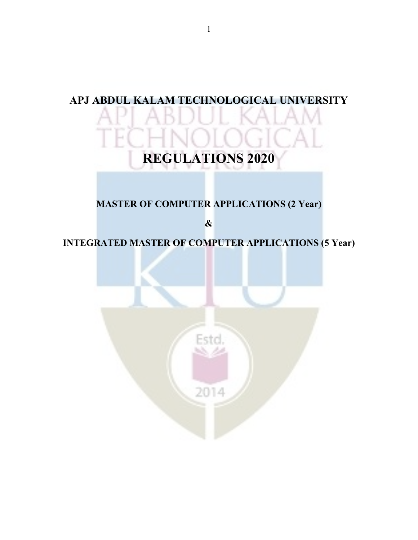## **APJ ABDUL KALAM TECHNOLOGICAL UNIVERSITY REGULATIONS 2020 MASTER OF COMPUTER APPLICATIONS (2 Year) & INTEGRATED MASTER OF COMPUTER APPLICATIONS (5 Year)**Estd. 2014

1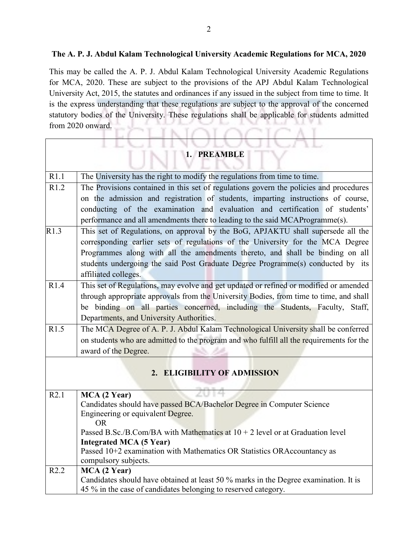## **The A. P. J. Abdul Kalam Technological University Academic Regulations for MCA, 2020**

This may be called the A. P. J. Abdul Kalam Technological University Academic Regulations for MCA, 2020. These are subject to the provisions of the APJ Abdul Kalam Technological University Act, 2015, the statutes and ordinances if any issued in the subject from time to time. It is the express understanding that these regulations are subject to the approval of the concerned statutory bodies of the University. These regulations shall be applicable for students admitted from 2020 onward. Į NOLOGIC

 $\overline{\mathbb{L}}$ 

|      | 8 L<br>North American<br>1. PREAMBLE                                                                 |
|------|------------------------------------------------------------------------------------------------------|
| R1.1 | The University has the right to modify the regulations from time to time.                            |
| R1.2 | The Provisions contained in this set of regulations govern the policies and procedures               |
|      | on the admission and registration of students, imparting instructions of course,                     |
|      | conducting of the examination and evaluation and certification of students'                          |
|      | performance and all amendments there to leading to the said MCAProgramme(s).                         |
| R1.3 | This set of Regulations, on approval by the BoG, APJAKTU shall supersede all the                     |
|      | corresponding earlier sets of regulations of the University for the MCA Degree                       |
|      | Programmes along with all the amendments thereto, and shall be binding on all                        |
|      | students undergoing the said Post Graduate Degree Programme(s) conducted by its                      |
|      | affiliated colleges.                                                                                 |
| R1.4 | This set of Regulations, may evolve and get updated or refined or modified or amended                |
|      | through appropriate approvals from the University Bodies, from time to time, and shall               |
|      | be binding on all parties concerned, including the Students, Faculty, Staff,                         |
|      | Departments, and University Authorities.                                                             |
| R1.5 | The MCA Degree of A. P. J. Abdul Kalam Technological University shall be conferred                   |
|      | on students who are admitted to the program and who fulfill all the requirements for the             |
|      | award of the Degree.                                                                                 |
|      | 2. ELIGIBILITY OF ADMISSION                                                                          |
| R2.1 | MCA (2 Year)                                                                                         |
|      | Candidates should have passed BCA/Bachelor Degree in Computer Science                                |
|      | Engineering or equivalent Degree.<br><b>OR</b>                                                       |
|      | Passed B.Sc./B.Com/BA with Mathematics at $10 + 2$ level or at Graduation level                      |
|      | <b>Integrated MCA (5 Year)</b>                                                                       |
|      | Passed 10+2 examination with Mathematics OR Statistics ORAccountancy as                              |
|      | compulsory subjects.                                                                                 |
| R2.2 | MCA (2 Year)<br>Candidates should have obtained at least 50 % marks in the Degree examination. It is |
|      | 45 % in the case of candidates belonging to reserved category.                                       |
|      |                                                                                                      |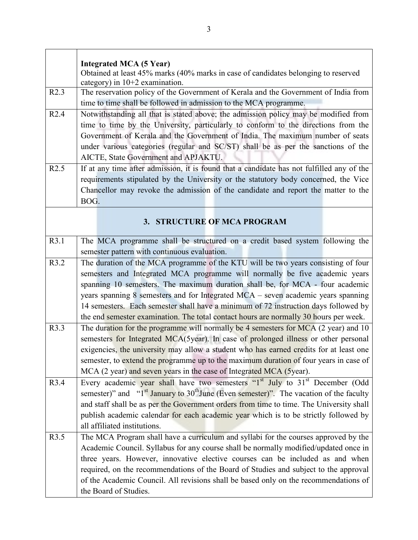|      | <b>Integrated MCA (5 Year)</b>                                                                                         |  |  |
|------|------------------------------------------------------------------------------------------------------------------------|--|--|
|      | Obtained at least 45% marks (40% marks in case of candidates belonging to reserved<br>category) in $10+2$ examination. |  |  |
| R2.3 | The reservation policy of the Government of Kerala and the Government of India from                                    |  |  |
|      | time to time shall be followed in admission to the MCA programme.                                                      |  |  |
| R2.4 | Notwithstanding all that is stated above; the admission policy may be modified from                                    |  |  |
|      | time to time by the University, particularly to conform to the directions from the                                     |  |  |
|      | Government of Kerala and the Government of India. The maximum number of seats                                          |  |  |
|      | under various categories (regular and SC/ST) shall be as per the sanctions of the                                      |  |  |
|      | AICTE, State Government and APJAKTU.                                                                                   |  |  |
| R2.5 | If at any time after admission, it is found that a candidate has not fulfilled any of the                              |  |  |
|      | requirements stipulated by the University or the statutory body concerned, the Vice                                    |  |  |
|      | Chancellor may revoke the admission of the candidate and report the matter to the                                      |  |  |
|      | BOG.                                                                                                                   |  |  |
|      |                                                                                                                        |  |  |
|      | 3. STRUCTURE OF MCA PROGRAM                                                                                            |  |  |
|      |                                                                                                                        |  |  |
| R3.1 | The MCA programme shall be structured on a credit based system following the                                           |  |  |
|      | semester pattern with continuous evaluation.                                                                           |  |  |
| R3.2 | The duration of the MCA programme of the KTU will be two years consisting of four                                      |  |  |
|      | semesters and Integrated MCA programme will normally be five academic years                                            |  |  |
|      | spanning 10 semesters. The maximum duration shall be, for MCA - four academic                                          |  |  |
|      | years spanning 8 semesters and for Integrated MCA – seven academic years spanning                                      |  |  |
|      | 14 semesters. Each semester shall have a minimum of 72 instruction days followed by                                    |  |  |
|      | the end semester examination. The total contact hours are normally 30 hours per week.                                  |  |  |
| R3.3 | The duration for the programme will normally be 4 semesters for MCA (2 year) and 10                                    |  |  |
|      | semesters for Integrated MCA(5year). In case of prolonged illness or other personal                                    |  |  |
|      | exigencies, the university may allow a student who has earned credits for at least one                                 |  |  |
|      | semester, to extend the programme up to the maximum duration of four years in case of                                  |  |  |
|      | MCA (2 year) and seven years in the case of Integrated MCA (5year).                                                    |  |  |
| R3.4 | Every academic year shall have two semesters "1 <sup>st</sup> July to 31 <sup>st</sup> December (Odd                   |  |  |
|      | semester)" and " $1st$ January to 30 <sup>th</sup> June (Even semester)". The vacation of the faculty                  |  |  |
|      | and staff shall be as per the Government orders from time to time. The University shall                                |  |  |
|      | publish academic calendar for each academic year which is to be strictly followed by                                   |  |  |
|      | all affiliated institutions.                                                                                           |  |  |
| R3.5 | The MCA Program shall have a curriculum and syllabi for the courses approved by the                                    |  |  |
|      | Academic Council. Syllabus for any course shall be normally modified/updated once in                                   |  |  |
|      | three years. However, innovative elective courses can be included as and when                                          |  |  |
|      | required, on the recommendations of the Board of Studies and subject to the approval                                   |  |  |
|      | of the Academic Council. All revisions shall be based only on the recommendations of                                   |  |  |
|      | the Board of Studies.                                                                                                  |  |  |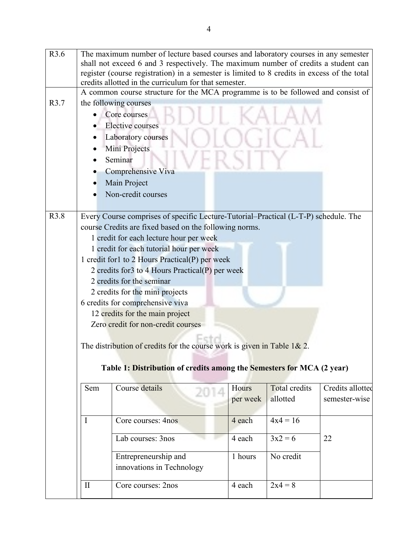| R3.6 | The maximum number of lecture based courses and laboratory courses in any semester<br>shall not exceed 6 and 3 respectively. The maximum number of credits a student can<br>register (course registration) in a semester is limited to 8 credits in excess of the total<br>credits allotted in the curriculum for that semester. |                                                                                     |          |                      |                  |  |  |
|------|----------------------------------------------------------------------------------------------------------------------------------------------------------------------------------------------------------------------------------------------------------------------------------------------------------------------------------|-------------------------------------------------------------------------------------|----------|----------------------|------------------|--|--|
|      |                                                                                                                                                                                                                                                                                                                                  | A common course structure for the MCA programme is to be followed and consist of    |          |                      |                  |  |  |
| R3.7 |                                                                                                                                                                                                                                                                                                                                  | the following courses                                                               |          |                      |                  |  |  |
|      |                                                                                                                                                                                                                                                                                                                                  | Core courses                                                                        |          |                      |                  |  |  |
|      |                                                                                                                                                                                                                                                                                                                                  | <b>Elective</b> courses                                                             |          |                      |                  |  |  |
|      |                                                                                                                                                                                                                                                                                                                                  | Laboratory courses                                                                  |          |                      |                  |  |  |
|      |                                                                                                                                                                                                                                                                                                                                  | Mini Projects                                                                       |          |                      |                  |  |  |
|      |                                                                                                                                                                                                                                                                                                                                  | Seminar                                                                             |          |                      |                  |  |  |
|      |                                                                                                                                                                                                                                                                                                                                  | Comprehensive Viva                                                                  |          |                      |                  |  |  |
|      |                                                                                                                                                                                                                                                                                                                                  | Main Project                                                                        |          |                      |                  |  |  |
|      |                                                                                                                                                                                                                                                                                                                                  | Non-credit courses                                                                  |          |                      |                  |  |  |
|      |                                                                                                                                                                                                                                                                                                                                  |                                                                                     |          |                      |                  |  |  |
| R3.8 |                                                                                                                                                                                                                                                                                                                                  | Every Course comprises of specific Lecture-Tutorial-Practical (L-T-P) schedule. The |          |                      |                  |  |  |
|      |                                                                                                                                                                                                                                                                                                                                  | course Credits are fixed based on the following norms.                              |          |                      |                  |  |  |
|      |                                                                                                                                                                                                                                                                                                                                  | 1 credit for each lecture hour per week                                             |          |                      |                  |  |  |
|      |                                                                                                                                                                                                                                                                                                                                  | 1 credit for each tutorial hour per week                                            |          |                      |                  |  |  |
|      |                                                                                                                                                                                                                                                                                                                                  | 1 credit for1 to 2 Hours Practical(P) per week                                      |          |                      |                  |  |  |
|      |                                                                                                                                                                                                                                                                                                                                  | 2 credits for 3 to 4 Hours Practical $(P)$ per week                                 |          |                      |                  |  |  |
|      | 2 credits for the seminar                                                                                                                                                                                                                                                                                                        |                                                                                     |          |                      |                  |  |  |
|      | 2 credits for the mini projects                                                                                                                                                                                                                                                                                                  |                                                                                     |          |                      |                  |  |  |
|      | 6 credits for comprehensive viva                                                                                                                                                                                                                                                                                                 |                                                                                     |          |                      |                  |  |  |
|      | 12 credits for the main project                                                                                                                                                                                                                                                                                                  |                                                                                     |          |                      |                  |  |  |
|      | Zero credit for non-credit courses                                                                                                                                                                                                                                                                                               |                                                                                     |          |                      |                  |  |  |
|      |                                                                                                                                                                                                                                                                                                                                  |                                                                                     |          |                      |                  |  |  |
|      | The distribution of credits for the course work is given in Table $1 & 2$ .                                                                                                                                                                                                                                                      |                                                                                     |          |                      |                  |  |  |
|      |                                                                                                                                                                                                                                                                                                                                  |                                                                                     |          |                      |                  |  |  |
|      |                                                                                                                                                                                                                                                                                                                                  | Table 1: Distribution of credits among the Semesters for MCA (2 year)               |          |                      |                  |  |  |
|      |                                                                                                                                                                                                                                                                                                                                  |                                                                                     |          |                      |                  |  |  |
|      | Sem                                                                                                                                                                                                                                                                                                                              | Course details                                                                      | Hours    | <b>Total credits</b> | Credits allotted |  |  |
|      |                                                                                                                                                                                                                                                                                                                                  |                                                                                     | per week | allotted             | semester-wise    |  |  |
|      |                                                                                                                                                                                                                                                                                                                                  |                                                                                     |          |                      |                  |  |  |
|      | I                                                                                                                                                                                                                                                                                                                                | Core courses: 4nos                                                                  | 4 each   | $4x4 = 16$           |                  |  |  |
|      |                                                                                                                                                                                                                                                                                                                                  | Lab courses: 3nos                                                                   | 4 each   | $3x^2 = 6$           | 22               |  |  |
|      |                                                                                                                                                                                                                                                                                                                                  |                                                                                     |          |                      |                  |  |  |
|      |                                                                                                                                                                                                                                                                                                                                  | Entrepreneurship and                                                                | 1 hours  | No credit            |                  |  |  |
|      |                                                                                                                                                                                                                                                                                                                                  | innovations in Technology                                                           |          |                      |                  |  |  |
|      |                                                                                                                                                                                                                                                                                                                                  |                                                                                     |          |                      |                  |  |  |
|      | $\mathbf{I}$                                                                                                                                                                                                                                                                                                                     | Core courses: 2nos                                                                  | 4 each   | $2x4 = 8$            |                  |  |  |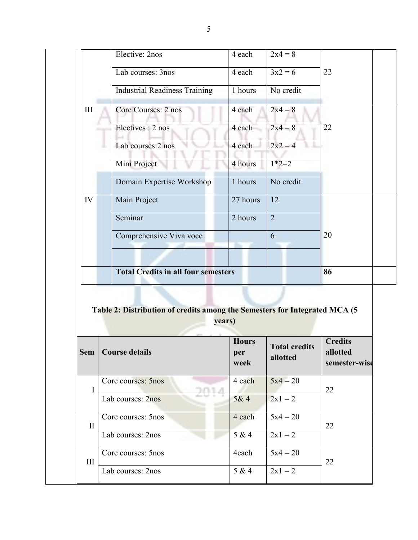|           | Elective: 2nos                             | 4 each   | $2x4 = 8$      |    |  |
|-----------|--------------------------------------------|----------|----------------|----|--|
|           | Lab courses: 3nos                          | 4 each   | $3x^2 = 6$     | 22 |  |
|           | <b>Industrial Readiness Training</b>       | 1 hours  | No credit      |    |  |
| $\rm III$ | Core Courses: 2 nos                        | 4 each   | $2x4 = 8$      |    |  |
|           | Electives : 2 nos                          | 4 each   | $2x4 = 8$      | 22 |  |
|           | Lab courses: 2 nos                         | 4 each   | $2x^2 = 4$     |    |  |
|           | Mini Project                               | 4 hours  | $1*2=2$        |    |  |
|           | Domain Expertise Workshop                  | 1 hours  | No credit      |    |  |
| IV        | Main Project                               | 27 hours | 12             |    |  |
|           | Seminar                                    | 2 hours  | $\overline{2}$ |    |  |
|           | Comprehensive Viva voce                    |          | 6              | 20 |  |
|           |                                            |          |                |    |  |
|           | <b>Total Credits in all four semesters</b> |          |                | 86 |  |

## **Table 2: Distribution of credits among the Semesters for Integrated MCA (5**

**years)**

| <b>Sem</b>   | <b>Course details</b> | <b>Hours</b><br>per<br>week | <b>Total credits</b><br>allotted | <b>Credits</b><br>allotted<br>semester-wise |
|--------------|-----------------------|-----------------------------|----------------------------------|---------------------------------------------|
| I            | Core courses: 5nos    | 4 each                      | $5x4 = 20$                       | 22                                          |
|              | Lab courses: 2nos     | 5&4                         | $2x1 = 2$                        |                                             |
| $\mathbf{I}$ | Core courses: 5nos    | 4 each                      | $5x4 = 20$                       | 22                                          |
|              | Lab courses: 2nos     | 5 & 4                       | $2x1 = 2$                        |                                             |
| III          | Core courses: 5nos    | 4each                       | $5x4 = 20$                       | 22                                          |
|              | Lab courses: 2nos     | 5 & 4                       | $2x1 = 2$                        |                                             |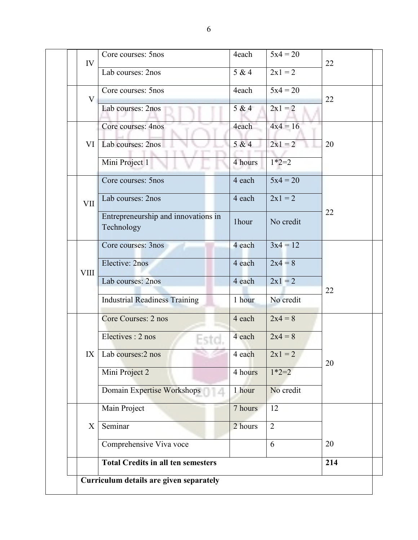| IV          | Core courses: 5nos                                | 4each             | $5x4 = 20$           | 22  |
|-------------|---------------------------------------------------|-------------------|----------------------|-----|
|             | Lab courses: 2nos                                 | 5 & 4             | $2x1 = 2$            |     |
| $\rm V$     | Core courses: 5nos                                | 4each             | $5x4 = 20$           | 22  |
|             | Lab courses: 2nos                                 | 5 & 4             | $2x1 = 2$            |     |
|             | Core courses: 4nos                                | 4each             | $4x4 = 16$           |     |
| VI          | Lab courses: 2nos                                 | 5 & 4             | $2x1 = 2$<br>$1*2=2$ | 20  |
|             | Mini Project 1<br>Core courses: 5nos              | 4 hours<br>4 each | $5x4 = 20$           |     |
|             |                                                   |                   |                      |     |
| <b>VII</b>  | Lab courses: 2nos                                 | 4 each            | $2x1 = 2$            |     |
|             | Entrepreneurship and innovations in<br>Technology | 1hour             | No credit            | 22  |
|             | Core courses: 3nos                                | 4 each            | $3x4 = 12$           |     |
|             | Elective: 2nos                                    | 4 each            | $2x4 = 8$            |     |
| <b>VIII</b> | Lab courses: 2nos                                 | 4 each            | $2x1 = 2$            |     |
|             | <b>Industrial Readiness Training</b>              | 1 hour            | No credit            | 22  |
|             | Core Courses: 2 nos                               | 4 each            | $2x4 = 8$            |     |
|             | Electives : 2 nos                                 | 4 each            | $2x4 = 8$            |     |
|             | $IX$ Lab courses: $2$ nos                         | 4 each            | $2x1 = 2$            | 20  |
|             | Mini Project 2                                    | 4 hours           | $1*2=2$              |     |
|             | Domain Expertise Workshops<br>14                  | 1 hour            | No credit            |     |
| $\mathbf X$ | Main Project                                      | 7 hours           | 12                   |     |
|             | Seminar                                           | 2 hours           | $\overline{2}$       |     |
|             | Comprehensive Viva voce                           |                   | 6                    | 20  |
|             | <b>Total Credits in all ten semesters</b>         |                   |                      | 214 |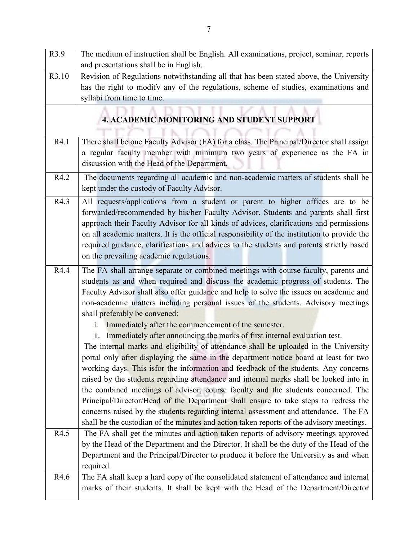| R3.9  | The medium of instruction shall be English. All examinations, project, seminar, reports<br>and presentations shall be in English.                                                                                                                                                                                                                                                                                                                                                                                                                                                                                                                                                                                                                                                                                                                                                                                                                                                                                                                                                                                                                                                                                                                                         |
|-------|---------------------------------------------------------------------------------------------------------------------------------------------------------------------------------------------------------------------------------------------------------------------------------------------------------------------------------------------------------------------------------------------------------------------------------------------------------------------------------------------------------------------------------------------------------------------------------------------------------------------------------------------------------------------------------------------------------------------------------------------------------------------------------------------------------------------------------------------------------------------------------------------------------------------------------------------------------------------------------------------------------------------------------------------------------------------------------------------------------------------------------------------------------------------------------------------------------------------------------------------------------------------------|
| R3.10 | Revision of Regulations notwithstanding all that has been stated above, the University<br>has the right to modify any of the regulations, scheme of studies, examinations and<br>syllabi from time to time.                                                                                                                                                                                                                                                                                                                                                                                                                                                                                                                                                                                                                                                                                                                                                                                                                                                                                                                                                                                                                                                               |
|       | <b>4. ACADEMIC MONITORING AND STUDENT SUPPORT</b>                                                                                                                                                                                                                                                                                                                                                                                                                                                                                                                                                                                                                                                                                                                                                                                                                                                                                                                                                                                                                                                                                                                                                                                                                         |
| R4.1  | There shall be one Faculty Advisor (FA) for a class. The Principal/Director shall assign<br>a regular faculty member with minimum two years of experience as the FA in<br>discussion with the Head of the Department.                                                                                                                                                                                                                                                                                                                                                                                                                                                                                                                                                                                                                                                                                                                                                                                                                                                                                                                                                                                                                                                     |
| R4.2  | The documents regarding all academic and non-academic matters of students shall be<br>kept under the custody of Faculty Advisor.                                                                                                                                                                                                                                                                                                                                                                                                                                                                                                                                                                                                                                                                                                                                                                                                                                                                                                                                                                                                                                                                                                                                          |
| R4.3  | All requests/applications from a student or parent to higher offices are to be<br>forwarded/recommended by his/her Faculty Advisor. Students and parents shall first<br>approach their Faculty Advisor for all kinds of advices, clarifications and permissions<br>on all academic matters. It is the official responsibility of the institution to provide the<br>required guidance, clarifications and advices to the students and parents strictly based<br>on the prevailing academic regulations.                                                                                                                                                                                                                                                                                                                                                                                                                                                                                                                                                                                                                                                                                                                                                                    |
| R4.4  | The FA shall arrange separate or combined meetings with course faculty, parents and<br>students as and when required and discuss the academic progress of students. The<br>Faculty Advisor shall also offer guidance and help to solve the issues on academic and<br>non-academic matters including personal issues of the students. Advisory meetings<br>shall preferably be convened:<br>Immediately after the commencement of the semester.<br>i.<br>Immediately after announcing the marks of first internal evaluation test.<br>ii.<br>The internal marks and eligibility of attendance shall be uploaded in the University<br>portal only after displaying the same in the department notice board at least for two<br>working days. This isfor the information and feedback of the students. Any concerns<br>raised by the students regarding attendance and internal marks shall be looked into in<br>the combined meetings of advisor, course faculty and the students concerned. The<br>Principal/Director/Head of the Department shall ensure to take steps to redress the<br>concerns raised by the students regarding internal assessment and attendance. The FA<br>shall be the custodian of the minutes and action taken reports of the advisory meetings. |
| R4.5  | The FA shall get the minutes and action taken reports of advisory meetings approved<br>by the Head of the Department and the Director. It shall be the duty of the Head of the<br>Department and the Principal/Director to produce it before the University as and when<br>required.                                                                                                                                                                                                                                                                                                                                                                                                                                                                                                                                                                                                                                                                                                                                                                                                                                                                                                                                                                                      |
| R4.6  | The FA shall keep a hard copy of the consolidated statement of attendance and internal<br>marks of their students. It shall be kept with the Head of the Department/Director                                                                                                                                                                                                                                                                                                                                                                                                                                                                                                                                                                                                                                                                                                                                                                                                                                                                                                                                                                                                                                                                                              |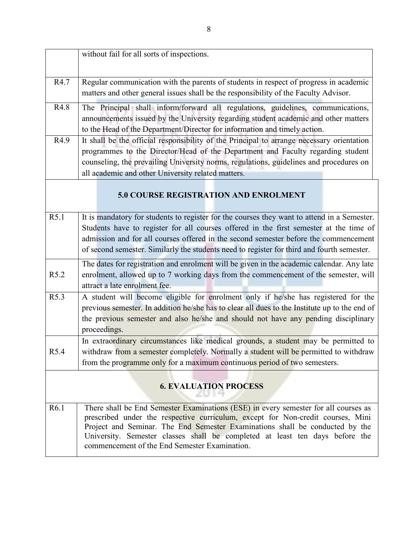|                  | without fail for all sorts of inspections.                                                                                                                                                                                                                                                                                                                                              |
|------------------|-----------------------------------------------------------------------------------------------------------------------------------------------------------------------------------------------------------------------------------------------------------------------------------------------------------------------------------------------------------------------------------------|
| R4.7             | Regular communication with the parents of students in respect of progress in academic<br>matters and other general issues shall be the responsibility of the Faculty Advisor.                                                                                                                                                                                                           |
| R4.8             | The Principal shall inform/forward all regulations, guidelines, communications,<br>announcements issued by the University regarding student academic and other matters<br>to the Head of the Department/Director for information and timely action.                                                                                                                                     |
| R4.9             | It shall be the official responsibility of the Principal to arrange necessary orientation<br>programmes to the Director/Head of the Department and Faculty regarding student<br>counseling, the prevailing University norms, regulations, guidelines and procedures on<br>all academic and other University related matters.                                                            |
|                  | <b>5.0 COURSE REGISTRATION AND ENROLMENT</b>                                                                                                                                                                                                                                                                                                                                            |
| R5.1             | It is mandatory for students to register for the courses they want to attend in a Semester.<br>Students have to register for all courses offered in the first semester at the time of<br>admission and for all courses offered in the second semester before the commencement<br>of second semester. Similarly the students need to register for third and fourth semester.             |
| R5.2             | The dates for registration and enrolment will be given in the academic calendar. Any late<br>enrolment, allowed up to 7 working days from the commencement of the semester, will<br>attract a late enrolment fee.                                                                                                                                                                       |
| R5.3             | A student will become eligible for enrolment only if he/she has registered for the<br>previous semester. In addition he/she has to clear all dues to the Institute up to the end of<br>the previous semester and also he/she and should not have any pending disciplinary<br>proceedings.                                                                                               |
| R5.4             | In extraordinary circumstances like medical grounds, a student may be permitted to<br>withdraw from a semester completely. Normally a student will be permitted to withdraw<br>from the programme only for a maximum continuous period of two semesters.                                                                                                                                |
|                  | <b>6. EVALUATION PROCESS</b>                                                                                                                                                                                                                                                                                                                                                            |
| R <sub>6.1</sub> | There shall be End Semester Examinations (ESE) in every semester for all courses as<br>prescribed under the respective curriculum, except for Non-credit courses, Mini<br>Project and Seminar. The End Semester Examinations shall be conducted by the<br>University. Semester classes shall be completed at least ten days before the<br>commencement of the End Semester Examination. |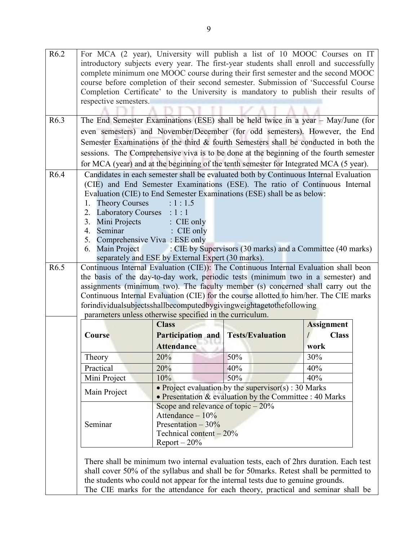| R <sub>6.2</sub> |                             |                                                          | For MCA (2 year), University will publish a list of 10 MOOC Courses on IT               |                   |
|------------------|-----------------------------|----------------------------------------------------------|-----------------------------------------------------------------------------------------|-------------------|
|                  |                             |                                                          | introductory subjects every year. The first-year students shall enroll and successfully |                   |
|                  |                             |                                                          | complete minimum one MOOC course during their first semester and the second MOOC        |                   |
|                  |                             |                                                          | course before completion of their second semester. Submission of 'Successful Course     |                   |
|                  |                             |                                                          | Completion Certificate' to the University is mandatory to publish their results of      |                   |
|                  | respective semesters.       |                                                          |                                                                                         |                   |
|                  |                             |                                                          |                                                                                         |                   |
| R <sub>6.3</sub> |                             |                                                          | The End Semester Examinations (ESE) shall be held twice in a year - May/June (for       |                   |
|                  |                             |                                                          | even semesters) and November/December (for odd semesters). However, the End             |                   |
|                  |                             |                                                          | Semester Examinations of the third & fourth Semesters shall be conducted in both the    |                   |
|                  |                             |                                                          | sessions. The Comprehensive viva is to be done at the beginning of the fourth semester  |                   |
|                  |                             |                                                          | for MCA (year) and at the beginning of the tenth semester for Integrated MCA (5 year).  |                   |
| R <sub>6.4</sub> |                             |                                                          | Candidates in each semester shall be evaluated both by Continuous Internal Evaluation   |                   |
|                  |                             |                                                          | (CIE) and End Semester Examinations (ESE). The ratio of Continuous Internal             |                   |
|                  |                             |                                                          | Evaluation (CIE) to End Semester Examinations (ESE) shall be as below:                  |                   |
|                  | <b>Theory Courses</b><br>1. | : 1: 1.5                                                 |                                                                                         |                   |
|                  | 2. Laboratory Courses       | : 1:1                                                    |                                                                                         |                   |
|                  | 3.<br>Mini Projects         | $\colon$ CIE only                                        |                                                                                         |                   |
|                  | 4.<br>Seminar               | $\therefore$ CIE only                                    |                                                                                         |                   |
|                  | 5.<br>6.                    | Comprehensive Viva: ESE only                             |                                                                                         |                   |
|                  | Main Project                | separately and ESE by External Expert (30 marks).        | : CIE by Supervisors (30 marks) and a Committee (40 marks)                              |                   |
| R6.5             |                             |                                                          | Continuous Internal Evaluation (CIE)): The Continuous Internal Evaluation shall beon    |                   |
|                  |                             |                                                          | the basis of the day-to-day work, periodic tests (minimum two in a semester) and        |                   |
|                  |                             |                                                          | assignments (minimum two). The faculty member (s) concerned shall carry out the         |                   |
|                  |                             |                                                          | Continuous Internal Evaluation (CIE) for the course allotted to him/her. The CIE marks  |                   |
|                  |                             |                                                          | forindividualsubjectsshallbecomputedbygivingweightagetothefollowing                     |                   |
|                  |                             | parameters unless otherwise specified in the curriculum. |                                                                                         |                   |
|                  |                             | <b>Class</b>                                             |                                                                                         | <b>Assignment</b> |
|                  | Course                      | <b>Participation and</b>                                 | <b>Tests/Evaluation</b>                                                                 | <b>Class</b>      |
|                  |                             | <b>Attendance</b>                                        |                                                                                         | work              |
|                  | Theory                      | 20%                                                      | 50%                                                                                     | 30%               |
|                  | Practical                   | 20%                                                      | 40%                                                                                     | 40%               |
|                  | Mini Project                | 10%                                                      | 50%                                                                                     | 40%               |
|                  | Main Project                |                                                          | • Project evaluation by the supervisor $(s)$ : 30 Marks                                 |                   |
|                  |                             |                                                          | • Presentation & evaluation by the Committee : 40 Marks                                 |                   |
|                  |                             | Scope and relevance of topic $-20\%$                     |                                                                                         |                   |
|                  | Seminar                     | Attendance $-10\%$<br>Presentation $-30\%$               |                                                                                         |                   |
|                  |                             | Technical content - 20%                                  |                                                                                         |                   |
|                  |                             | $Report - 20%$                                           |                                                                                         |                   |
|                  |                             |                                                          |                                                                                         |                   |
|                  |                             |                                                          | There shall be minimum two internal evaluation tests, each of 2hrs duration. Each test  |                   |
|                  |                             |                                                          | shall cover 50% of the syllabus and shall be for 50 marks. Retest shall be permitted to |                   |
|                  |                             |                                                          | the students who could not appear for the internal tests due to genuine grounds.        |                   |

The CIE marks for the attendance for each theory, practical and seminar shall be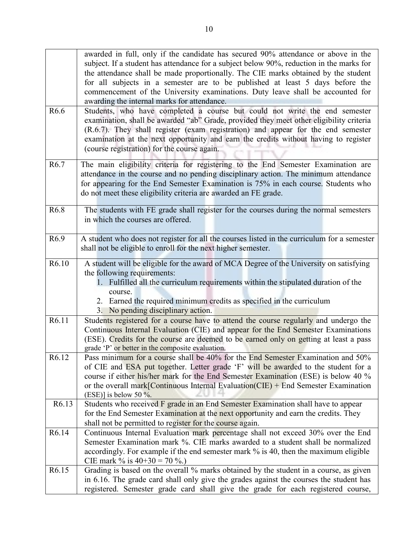|                   | awarded in full, only if the candidate has secured 90% attendance or above in the<br>subject. If a student has attendance for a subject below 90%, reduction in the marks for                                                                                                                                                                                                                   |
|-------------------|-------------------------------------------------------------------------------------------------------------------------------------------------------------------------------------------------------------------------------------------------------------------------------------------------------------------------------------------------------------------------------------------------|
|                   | the attendance shall be made proportionally. The CIE marks obtained by the student                                                                                                                                                                                                                                                                                                              |
|                   | for all subjects in a semester are to be published at least 5 days before the                                                                                                                                                                                                                                                                                                                   |
|                   | commencement of the University examinations. Duty leave shall be accounted for                                                                                                                                                                                                                                                                                                                  |
|                   | awarding the internal marks for attendance.                                                                                                                                                                                                                                                                                                                                                     |
| R <sub>6.6</sub>  | Students, who have completed a course but could not write the end semester<br>examination, shall be awarded "ab" Grade, provided they meet other eligibility criteria<br>(R.6.7). They shall register (exam registration) and appear for the end semester<br>examination at the next opportunity and earn the credits without having to register<br>(course registration) for the course again. |
| R <sub>6.7</sub>  | The main eligibility criteria for registering to the End Semester Examination are                                                                                                                                                                                                                                                                                                               |
|                   | attendance in the course and no pending disciplinary action. The minimum attendance                                                                                                                                                                                                                                                                                                             |
|                   | for appearing for the End Semester Examination is 75% in each course. Students who                                                                                                                                                                                                                                                                                                              |
|                   | do not meet these eligibility criteria are awarded an FE grade.                                                                                                                                                                                                                                                                                                                                 |
| R <sub>6.8</sub>  | The students with FE grade shall register for the courses during the normal semesters                                                                                                                                                                                                                                                                                                           |
|                   | in which the courses are offered.                                                                                                                                                                                                                                                                                                                                                               |
|                   |                                                                                                                                                                                                                                                                                                                                                                                                 |
| R <sub>6.9</sub>  | A student who does not register for all the courses listed in the curriculum for a semester                                                                                                                                                                                                                                                                                                     |
|                   | shall not be eligible to enroll for the next higher semester.                                                                                                                                                                                                                                                                                                                                   |
|                   |                                                                                                                                                                                                                                                                                                                                                                                                 |
| R6.10             | A student will be eligible for the award of MCA Degree of the University on satisfying                                                                                                                                                                                                                                                                                                          |
|                   | the following requirements:                                                                                                                                                                                                                                                                                                                                                                     |
|                   | 1. Fulfilled all the curriculum requirements within the stipulated duration of the                                                                                                                                                                                                                                                                                                              |
|                   | course.                                                                                                                                                                                                                                                                                                                                                                                         |
|                   | 2. Earned the required minimum credits as specified in the curriculum                                                                                                                                                                                                                                                                                                                           |
| R6.11             | 3. No pending disciplinary action.<br>Students registered for a course have to attend the course regularly and undergo the                                                                                                                                                                                                                                                                      |
|                   | Continuous Internal Evaluation (CIE) and appear for the End Semester Examinations                                                                                                                                                                                                                                                                                                               |
|                   | (ESE). Credits for the course are deemed to be earned only on getting at least a pass                                                                                                                                                                                                                                                                                                           |
|                   | grade 'P' or better in the composite evaluation.                                                                                                                                                                                                                                                                                                                                                |
| R6.12             | Pass minimum for a course shall be 40% for the End Semester Examination and 50%                                                                                                                                                                                                                                                                                                                 |
|                   | of CIE and ESA put together. Letter grade 'F' will be awarded to the student for a                                                                                                                                                                                                                                                                                                              |
|                   | course if either his/her mark for the End Semester Examination (ESE) is below 40 %                                                                                                                                                                                                                                                                                                              |
|                   | or the overall mark [Continuous Internal Evaluation $(CIE)$ + End Semester Examination                                                                                                                                                                                                                                                                                                          |
|                   | (ESE)] is below 50 $\%$ .                                                                                                                                                                                                                                                                                                                                                                       |
| R <sub>6.13</sub> | Students who received F grade in an End Semester Examination shall have to appear                                                                                                                                                                                                                                                                                                               |
|                   | for the End Semester Examination at the next opportunity and earn the credits. They                                                                                                                                                                                                                                                                                                             |
|                   | shall not be permitted to register for the course again.                                                                                                                                                                                                                                                                                                                                        |
| R6.14             | Continuous Internal Evaluation mark percentage shall not exceed 30% over the End<br>Semester Examination mark %. CIE marks awarded to a student shall be normalized                                                                                                                                                                                                                             |
|                   | accordingly. For example if the end semester mark % is 40, then the maximum eligible                                                                                                                                                                                                                                                                                                            |
|                   | CIE mark % is $40+30 = 70$ %.)                                                                                                                                                                                                                                                                                                                                                                  |
| R6.15             | Grading is based on the overall % marks obtained by the student in a course, as given                                                                                                                                                                                                                                                                                                           |
|                   | in 6.16. The grade card shall only give the grades against the courses the student has                                                                                                                                                                                                                                                                                                          |
|                   | registered. Semester grade card shall give the grade for each registered course,                                                                                                                                                                                                                                                                                                                |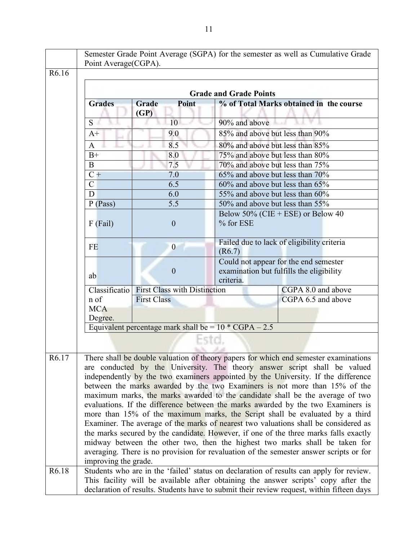|                    | Point Average (CGPA). |                                                         | Semester Grade Point Average (SGPA) for the semester as well as Cumulative Grade                                                                                                                                                                                                                                                                                                                                                                                                                                                                                                                                                                                                                                                                                                                                                                                                                                                                  |
|--------------------|-----------------------|---------------------------------------------------------|---------------------------------------------------------------------------------------------------------------------------------------------------------------------------------------------------------------------------------------------------------------------------------------------------------------------------------------------------------------------------------------------------------------------------------------------------------------------------------------------------------------------------------------------------------------------------------------------------------------------------------------------------------------------------------------------------------------------------------------------------------------------------------------------------------------------------------------------------------------------------------------------------------------------------------------------------|
| R6.16              |                       |                                                         |                                                                                                                                                                                                                                                                                                                                                                                                                                                                                                                                                                                                                                                                                                                                                                                                                                                                                                                                                   |
|                    |                       |                                                         |                                                                                                                                                                                                                                                                                                                                                                                                                                                                                                                                                                                                                                                                                                                                                                                                                                                                                                                                                   |
|                    |                       |                                                         | <b>Grade and Grade Points</b>                                                                                                                                                                                                                                                                                                                                                                                                                                                                                                                                                                                                                                                                                                                                                                                                                                                                                                                     |
|                    | <b>Grades</b>         | Point<br>Grade<br>(GP)                                  | % of Total Marks obtained in the course                                                                                                                                                                                                                                                                                                                                                                                                                                                                                                                                                                                                                                                                                                                                                                                                                                                                                                           |
|                    | S.                    | 10                                                      | 90% and above                                                                                                                                                                                                                                                                                                                                                                                                                                                                                                                                                                                                                                                                                                                                                                                                                                                                                                                                     |
|                    | $A+$                  | 9.0                                                     | 85% and above but less than 90%                                                                                                                                                                                                                                                                                                                                                                                                                                                                                                                                                                                                                                                                                                                                                                                                                                                                                                                   |
|                    | A                     | 8.5                                                     | 80% and above but less than 85%                                                                                                                                                                                                                                                                                                                                                                                                                                                                                                                                                                                                                                                                                                                                                                                                                                                                                                                   |
|                    | $B+$                  | 8.0                                                     | 75% and above but less than 80%                                                                                                                                                                                                                                                                                                                                                                                                                                                                                                                                                                                                                                                                                                                                                                                                                                                                                                                   |
|                    | B                     | 7.5                                                     | 70% and above but less than 75%                                                                                                                                                                                                                                                                                                                                                                                                                                                                                                                                                                                                                                                                                                                                                                                                                                                                                                                   |
|                    | $C +$                 | 7.0                                                     | 65% and above but less than 70%                                                                                                                                                                                                                                                                                                                                                                                                                                                                                                                                                                                                                                                                                                                                                                                                                                                                                                                   |
|                    | $\mathcal{C}$         | 6.5                                                     | 60% and above but less than 65%                                                                                                                                                                                                                                                                                                                                                                                                                                                                                                                                                                                                                                                                                                                                                                                                                                                                                                                   |
|                    | D                     | 6.0                                                     | 55% and above but less than 60%                                                                                                                                                                                                                                                                                                                                                                                                                                                                                                                                                                                                                                                                                                                                                                                                                                                                                                                   |
|                    | $P$ (Pass)            | 5.5                                                     | 50% and above but less than 55%                                                                                                                                                                                                                                                                                                                                                                                                                                                                                                                                                                                                                                                                                                                                                                                                                                                                                                                   |
|                    |                       |                                                         | Below 50% (CIE + ESE) or Below 40                                                                                                                                                                                                                                                                                                                                                                                                                                                                                                                                                                                                                                                                                                                                                                                                                                                                                                                 |
|                    | $F$ (Fail)            | $\mathbf{0}$                                            | % for ESE                                                                                                                                                                                                                                                                                                                                                                                                                                                                                                                                                                                                                                                                                                                                                                                                                                                                                                                                         |
|                    | <b>FE</b>             | $\overline{0}$                                          | Failed due to lack of eligibility criteria<br>(R6.7)                                                                                                                                                                                                                                                                                                                                                                                                                                                                                                                                                                                                                                                                                                                                                                                                                                                                                              |
|                    | ab                    | $\overline{0}$                                          | Could not appear for the end semester<br>examination but fulfills the eligibility<br>criteria.                                                                                                                                                                                                                                                                                                                                                                                                                                                                                                                                                                                                                                                                                                                                                                                                                                                    |
|                    | Classificatio         | <b>First Class with Distinction</b>                     | CGPA 8.0 and above                                                                                                                                                                                                                                                                                                                                                                                                                                                                                                                                                                                                                                                                                                                                                                                                                                                                                                                                |
|                    | n of                  | <b>First Class</b>                                      | CGPA 6.5 and above                                                                                                                                                                                                                                                                                                                                                                                                                                                                                                                                                                                                                                                                                                                                                                                                                                                                                                                                |
|                    | <b>MCA</b>            |                                                         |                                                                                                                                                                                                                                                                                                                                                                                                                                                                                                                                                                                                                                                                                                                                                                                                                                                                                                                                                   |
|                    | Degree.               |                                                         |                                                                                                                                                                                                                                                                                                                                                                                                                                                                                                                                                                                                                                                                                                                                                                                                                                                                                                                                                   |
|                    |                       | Equivalent percentage mark shall be = $10 * CGPA - 2.5$ |                                                                                                                                                                                                                                                                                                                                                                                                                                                                                                                                                                                                                                                                                                                                                                                                                                                                                                                                                   |
|                    |                       |                                                         |                                                                                                                                                                                                                                                                                                                                                                                                                                                                                                                                                                                                                                                                                                                                                                                                                                                                                                                                                   |
| R <sub>6</sub> .17 | improving the grade.  |                                                         | There shall be double valuation of theory papers for which end semester examinations<br>are conducted by the University. The theory answer script shall be valued<br>independently by the two examiners appointed by the University. If the difference<br>between the marks awarded by the two Examiners is not more than 15% of the<br>maximum marks, the marks awarded to the candidate shall be the average of two<br>evaluations. If the difference between the marks awarded by the two Examiners is<br>more than 15% of the maximum marks, the Script shall be evaluated by a third<br>Examiner. The average of the marks of nearest two valuations shall be considered as<br>the marks secured by the candidate. However, if one of the three marks falls exactly<br>midway between the other two, then the highest two marks shall be taken for<br>averaging. There is no provision for revaluation of the semester answer scripts or for |
| R6.18              |                       |                                                         | Students who are in the 'failed' status on declaration of results can apply for review.                                                                                                                                                                                                                                                                                                                                                                                                                                                                                                                                                                                                                                                                                                                                                                                                                                                           |
|                    |                       |                                                         | This facility will be available after obtaining the answer scripts' copy after the                                                                                                                                                                                                                                                                                                                                                                                                                                                                                                                                                                                                                                                                                                                                                                                                                                                                |
|                    |                       |                                                         | declaration of results. Students have to submit their review request, within fifteen days                                                                                                                                                                                                                                                                                                                                                                                                                                                                                                                                                                                                                                                                                                                                                                                                                                                         |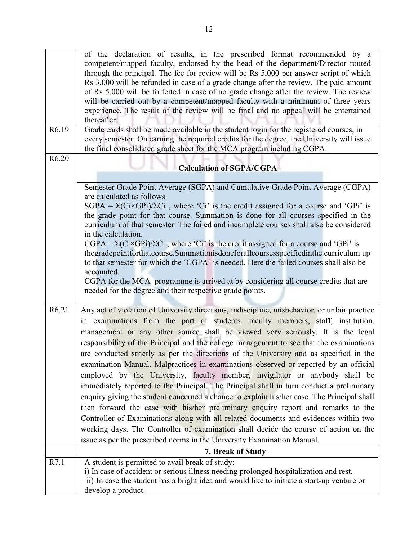|       | of the declaration of results, in the prescribed format recommended by a                               |
|-------|--------------------------------------------------------------------------------------------------------|
|       | competent/mapped faculty, endorsed by the head of the department/Director routed                       |
|       | through the principal. The fee for review will be Rs 5,000 per answer script of which                  |
|       | Rs 3,000 will be refunded in case of a grade change after the review. The paid amount                  |
|       | of Rs 5,000 will be forfeited in case of no grade change after the review. The review                  |
|       | will be carried out by a competent/mapped faculty with a minimum of three years                        |
|       | experience. The result of the review will be final and no appeal will be entertained                   |
|       | thereafter.                                                                                            |
| R6.19 | Grade cards shall be made available in the student login for the registered courses, in                |
|       | every semester. On earning the required credits for the degree, the University will issue              |
|       | the final consolidated grade sheet for the MCA program including CGPA.                                 |
| R6.20 |                                                                                                        |
|       | <b>Calculation of SGPA/CGPA</b>                                                                        |
|       |                                                                                                        |
|       | Semester Grade Point Average (SGPA) and Cumulative Grade Point Average (CGPA)                          |
|       | are calculated as follows.                                                                             |
|       | $SGPA = \Sigma(Ci \times GPi)/\Sigma Ci$ , where 'Ci' is the credit assigned for a course and 'GPi' is |
|       | the grade point for that course. Summation is done for all courses specified in the                    |
|       | curriculum of that semester. The failed and incomplete courses shall also be considered                |
|       | in the calculation.                                                                                    |
|       | $CGPA = \Sigma(Ci \times GPi)/\Sigma Ci$ , where 'Ci' is the credit assigned for a course and 'GPi' is |
|       | thegradepointforthatcourse. Summationisdoneforallcoursesspecifiedinthe curriculum up                   |
|       | to that semester for which the 'CGPA' is needed. Here the failed courses shall also be                 |
|       | accounted.                                                                                             |
|       | CGPA for the MCA programme is arrived at by considering all course credits that are                    |
|       | needed for the degree and their respective grade points.                                               |
|       |                                                                                                        |
| R6.21 | Any act of violation of University directions, indiscipline, misbehavior, or unfair practice           |
|       | in examinations from the part of students, faculty members, staff, institution,                        |
|       | management or any other source shall be viewed very seriously. It is the legal                         |
|       | responsibility of the Principal and the college management to see that the examinations                |
|       | are conducted strictly as per the directions of the University and as specified in the                 |
|       | examination Manual. Malpractices in examinations observed or reported by an official                   |
|       | employed by the University, faculty member, invigilator or anybody shall be                            |
|       |                                                                                                        |
|       | immediately reported to the Principal. The Principal shall in turn conduct a preliminary               |
|       | enquiry giving the student concerned a chance to explain his/her case. The Principal shall             |
|       | then forward the case with his/her preliminary enquiry report and remarks to the                       |
|       | Controller of Examinations along with all related documents and evidences within two                   |
|       | working days. The Controller of examination shall decide the course of action on the                   |
|       | issue as per the prescribed norms in the University Examination Manual.                                |
|       | 7. Break of Study                                                                                      |
| R7.1  | A student is permitted to avail break of study:                                                        |
|       | i) In case of accident or serious illness needing prolonged hospitalization and rest.                  |
|       |                                                                                                        |
|       | ii) In case the student has a bright idea and would like to initiate a start-up venture or             |
|       | develop a product.                                                                                     |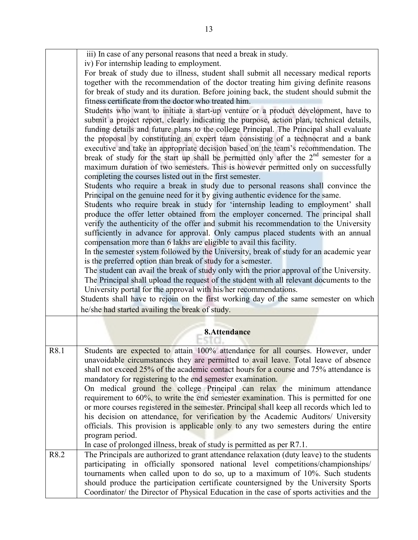|      | iii) In case of any personal reasons that need a break in study.                                                                                        |
|------|---------------------------------------------------------------------------------------------------------------------------------------------------------|
|      | iv) For internship leading to employment.<br>For break of study due to illness, student shall submit all necessary medical reports                      |
|      | together with the recommendation of the doctor treating him giving definite reasons                                                                     |
|      | for break of study and its duration. Before joining back, the student should submit the                                                                 |
|      | fitness certificate from the doctor who treated him.                                                                                                    |
|      | Students who want to initiate a start-up venture or a product development, have to                                                                      |
|      | submit a project report, clearly indicating the purpose, action plan, technical details,                                                                |
|      | funding details and future plans to the college Principal. The Principal shall evaluate                                                                 |
|      | the proposal by constituting an expert team consisting of a technocrat and a bank                                                                       |
|      | executive and take an appropriate decision based on the team's recommendation. The                                                                      |
|      | break of study for the start up shall be permitted only after the $2nd$ semester for a                                                                  |
|      | maximum duration of two semesters. This is however permitted only on successfully                                                                       |
|      | completing the courses listed out in the first semester.                                                                                                |
|      | Students who require a break in study due to personal reasons shall convince the                                                                        |
|      | Principal on the genuine need for it by giving authentic evidence for the same.                                                                         |
|      | Students who require break in study for 'internship leading to employment' shall                                                                        |
|      | produce the offer letter obtained from the employer concerned. The principal shall                                                                      |
|      | verify the authenticity of the offer and submit his recommendation to the University                                                                    |
|      | sufficiently in advance for approval. Only campus placed students with an annual                                                                        |
|      | compensation more than 6 lakhs are eligible to avail this facility.                                                                                     |
|      | In the semester system followed by the University, break of study for an academic year                                                                  |
|      | is the preferred option than break of study for a semester.<br>The student can avail the break of study only with the prior approval of the University. |
|      | The Principal shall upload the request of the student with all relevant documents to the                                                                |
|      | University portal for the approval with his/her recommendations.                                                                                        |
|      | Students shall have to rejoin on the first working day of the same semester on which                                                                    |
|      | he/she had started availing the break of study.                                                                                                         |
|      |                                                                                                                                                         |
|      |                                                                                                                                                         |
|      | 8.Attendance                                                                                                                                            |
| R8.1 | Students are expected to attain 100% attendance for all courses. However, under                                                                         |
|      | unavoidable circumstances they are permitted to avail leave. Total leave of absence                                                                     |
|      | shall not exceed 25% of the academic contact hours for a course and 75% attendance is                                                                   |
|      | mandatory for registering to the end semester examination.                                                                                              |
|      | On medical ground the college Principal can relax the minimum attendance                                                                                |
|      | requirement to 60%, to write the end semester examination. This is permitted for one                                                                    |
|      | or more courses registered in the semester. Principal shall keep all records which led to                                                               |
|      | his decision on attendance, for verification by the Academic Auditors/ University                                                                       |
|      | officials. This provision is applicable only to any two semesters during the entire                                                                     |
|      | program period.                                                                                                                                         |
|      | In case of prolonged illness, break of study is permitted as per R7.1.                                                                                  |
| R8.2 | The Principals are authorized to grant attendance relaxation (duty leave) to the students                                                               |
|      | participating in officially sponsored national level competitions/championships/                                                                        |
|      | tournaments when called upon to do so, up to a maximum of 10%. Such students                                                                            |
|      | should produce the participation certificate countersigned by the University Sports                                                                     |
|      | Coordinator/ the Director of Physical Education in the case of sports activities and the                                                                |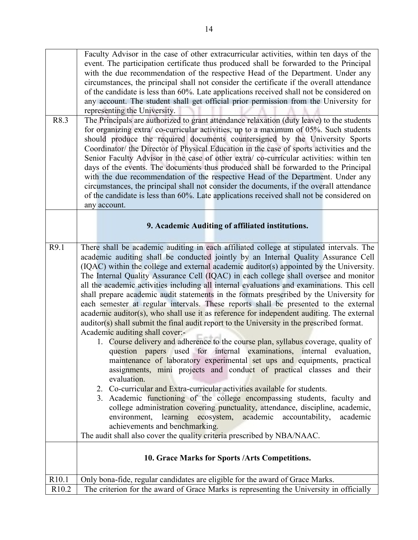| R8.3              | Faculty Advisor in the case of other extracurricular activities, within ten days of the<br>event. The participation certificate thus produced shall be forwarded to the Principal<br>with the due recommendation of the respective Head of the Department. Under any<br>circumstances, the principal shall not consider the certificate if the overall attendance<br>of the candidate is less than 60%. Late applications received shall not be considered on<br>any account. The student shall get official prior permission from the University for<br>representing the University.<br>The Principals are authorized to grant attendance relaxation (duty leave) to the students                                                                                                                                                                                                                                                                                                                                                                                                                                                                                                                                                                                                                                                                                                                                                                                                                                                                                                                                                                  |
|-------------------|-----------------------------------------------------------------------------------------------------------------------------------------------------------------------------------------------------------------------------------------------------------------------------------------------------------------------------------------------------------------------------------------------------------------------------------------------------------------------------------------------------------------------------------------------------------------------------------------------------------------------------------------------------------------------------------------------------------------------------------------------------------------------------------------------------------------------------------------------------------------------------------------------------------------------------------------------------------------------------------------------------------------------------------------------------------------------------------------------------------------------------------------------------------------------------------------------------------------------------------------------------------------------------------------------------------------------------------------------------------------------------------------------------------------------------------------------------------------------------------------------------------------------------------------------------------------------------------------------------------------------------------------------------|
|                   | for organizing extra/co-curricular activities, up to a maximum of 05%. Such students<br>should produce the required documents countersigned by the University Sports                                                                                                                                                                                                                                                                                                                                                                                                                                                                                                                                                                                                                                                                                                                                                                                                                                                                                                                                                                                                                                                                                                                                                                                                                                                                                                                                                                                                                                                                                |
|                   | Coordinator/ the Director of Physical Education in the case of sports activities and the<br>Senior Faculty Advisor in the case of other extra/ co-curricular activities: within ten                                                                                                                                                                                                                                                                                                                                                                                                                                                                                                                                                                                                                                                                                                                                                                                                                                                                                                                                                                                                                                                                                                                                                                                                                                                                                                                                                                                                                                                                 |
|                   | days of the events. The documents thus produced shall be forwarded to the Principal                                                                                                                                                                                                                                                                                                                                                                                                                                                                                                                                                                                                                                                                                                                                                                                                                                                                                                                                                                                                                                                                                                                                                                                                                                                                                                                                                                                                                                                                                                                                                                 |
|                   | with the due recommendation of the respective Head of the Department. Under any                                                                                                                                                                                                                                                                                                                                                                                                                                                                                                                                                                                                                                                                                                                                                                                                                                                                                                                                                                                                                                                                                                                                                                                                                                                                                                                                                                                                                                                                                                                                                                     |
|                   | circumstances, the principal shall not consider the documents, if the overall attendance<br>of the candidate is less than 60%. Late applications received shall not be considered on                                                                                                                                                                                                                                                                                                                                                                                                                                                                                                                                                                                                                                                                                                                                                                                                                                                                                                                                                                                                                                                                                                                                                                                                                                                                                                                                                                                                                                                                |
|                   | any account.                                                                                                                                                                                                                                                                                                                                                                                                                                                                                                                                                                                                                                                                                                                                                                                                                                                                                                                                                                                                                                                                                                                                                                                                                                                                                                                                                                                                                                                                                                                                                                                                                                        |
|                   | 9. Academic Auditing of affiliated institutions.                                                                                                                                                                                                                                                                                                                                                                                                                                                                                                                                                                                                                                                                                                                                                                                                                                                                                                                                                                                                                                                                                                                                                                                                                                                                                                                                                                                                                                                                                                                                                                                                    |
| R9.1              | There shall be academic auditing in each affiliated college at stipulated intervals. The<br>academic auditing shall be conducted jointly by an Internal Quality Assurance Cell<br>(IQAC) within the college and external academic auditor(s) appointed by the University.<br>The Internal Quality Assurance Cell (IQAC) in each college shall oversee and monitor<br>all the academic activities including all internal evaluations and examinations. This cell<br>shall prepare academic audit statements in the formats prescribed by the University for<br>each semester at regular intervals. These reports shall be presented to the external<br>academic auditor(s), who shall use it as reference for independent auditing. The external<br>auditor(s) shall submit the final audit report to the University in the prescribed format.<br>Academic auditing shall cover:-<br>1. Course delivery and adherence to the course plan, syllabus coverage, quality of<br>question papers used for internal examinations, internal evaluation,<br>maintenance of laboratory experimental set ups and equipments, practical<br>assignments, mini projects and conduct of practical classes and their<br>evaluation.<br>2. Co-curricular and Extra-curricular activities available for students.<br>3. Academic functioning of the college encompassing students, faculty and<br>college administration covering punctuality, attendance, discipline, academic,<br>environment, learning ecosystem, academic accountability,<br>academic<br>achievements and benchmarking.<br>The audit shall also cover the quality criteria prescribed by NBA/NAAC. |
|                   | 10. Grace Marks for Sports / Arts Competitions.                                                                                                                                                                                                                                                                                                                                                                                                                                                                                                                                                                                                                                                                                                                                                                                                                                                                                                                                                                                                                                                                                                                                                                                                                                                                                                                                                                                                                                                                                                                                                                                                     |
| R10.1             | Only bona-fide, regular candidates are eligible for the award of Grace Marks.                                                                                                                                                                                                                                                                                                                                                                                                                                                                                                                                                                                                                                                                                                                                                                                                                                                                                                                                                                                                                                                                                                                                                                                                                                                                                                                                                                                                                                                                                                                                                                       |
| R <sub>10.2</sub> | The criterion for the award of Grace Marks is representing the University in officially                                                                                                                                                                                                                                                                                                                                                                                                                                                                                                                                                                                                                                                                                                                                                                                                                                                                                                                                                                                                                                                                                                                                                                                                                                                                                                                                                                                                                                                                                                                                                             |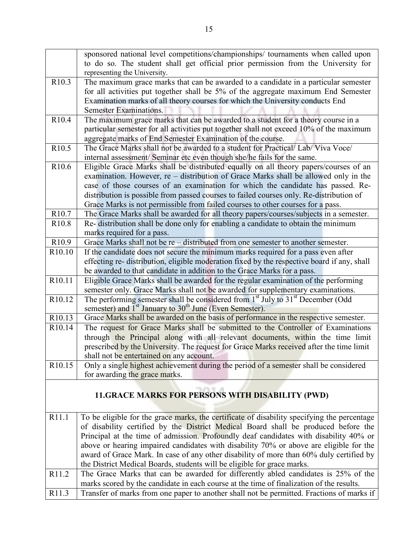|                    | sponsored national level competitions/championships/ tournaments when called upon           |
|--------------------|---------------------------------------------------------------------------------------------|
|                    | to do so. The student shall get official prior permission from the University for           |
|                    | representing the University.                                                                |
| R <sub>10.3</sub>  | The maximum grace marks that can be awarded to a candidate in a particular semester         |
|                    | for all activities put together shall be 5% of the aggregate maximum End Semester           |
|                    | Examination marks of all theory courses for which the University conducts End               |
|                    | Semester Examinations.                                                                      |
| R <sub>10.4</sub>  | The maximum grace marks that can be awarded to a student for a theory course in a           |
|                    | particular semester for all activities put together shall not exceed 10% of the maximum     |
|                    | aggregate marks of End Semester Examination of the course.                                  |
| R <sub>10.5</sub>  | The Grace Marks shall not be awarded to a student for Practical/ Lab/ Viva Voce/            |
|                    | internal assessment/ Seminar etc even though she/he fails for the same.                     |
| R <sub>10.6</sub>  | Eligible Grace Marks shall be distributed equally on all theory papers/courses of an        |
|                    | examination. However, re – distribution of Grace Marks shall be allowed only in the         |
|                    | case of those courses of an examination for which the candidate has passed. Re-             |
|                    | distribution is possible from passed courses to failed courses only. Re-distribution of     |
|                    | Grace Marks is not permissible from failed courses to other courses for a pass.             |
| R <sub>10.7</sub>  | The Grace Marks shall be awarded for all theory papers/courses/subjects in a semester.      |
| R <sub>10.8</sub>  | Re- distribution shall be done only for enabling a candidate to obtain the minimum          |
|                    | marks required for a pass.                                                                  |
| R <sub>10.9</sub>  | Grace Marks shall not be $re$ - distributed from one semester to another semester.          |
| R10.10             | If the candidate does not secure the minimum marks required for a pass even after           |
|                    | effecting re- distribution, eligible moderation fixed by the respective board if any, shall |
|                    | be awarded to that candidate in addition to the Grace Marks for a pass.                     |
| R10.11             | Eligible Grace Marks shall be awarded for the regular examination of the performing         |
|                    | semester only. Grace Marks shall not be awarded for supplementary examinations.             |
| R <sub>10.12</sub> | The performing semester shall be considered from $1st$ July to $31st$ December (Odd         |
|                    | semester) and 1 <sup>st</sup> January to 30 <sup>th</sup> June (Even Semester).             |
| R <sub>10.13</sub> | Grace Marks shall be awarded on the basis of performance in the respective semester.        |
| R <sub>10.14</sub> | The request for Grace Marks shall be submitted to the Controller of Examinations            |
|                    | through the Principal along with all relevant documents, within the time limit              |
|                    | prescribed by the University. The request for Grace Marks received after the time limit     |
|                    | shall not be entertained on any account.                                                    |
| R <sub>10.15</sub> | Only a single highest achievement during the period of a semester shall be considered       |
|                    | for awarding the grace marks.                                                               |
|                    |                                                                                             |
|                    | 11. GRACE MARKS FOR PERSONS WITH DISABILITY (PWD)                                           |
|                    |                                                                                             |
| R11.1              | To be eligible for the grace marks, the certificate of disability specifying the percentage |
|                    | of disability certified by the District Medical Board shall be produced before the          |
|                    | Principal at the time of admission. Profoundly deaf candidates with disability 40% or       |
|                    | above or hearing impaired candidates with disability 70% or above are eligible for the      |
|                    | award of Grace Mark. In case of any other disability of more than 60% duly certified by     |
|                    | the District Medical Boards, students will be eligible for grace marks.                     |
| R11.2              | The Grace Marks that can be awarded for differently abled candidates is 25% of the          |
|                    | marks scored by the candidate in each course at the time of finalization of the results.    |
| R11.3              | Transfer of marks from one paper to another shall not be permitted. Fractions of marks if   |
|                    |                                                                                             |